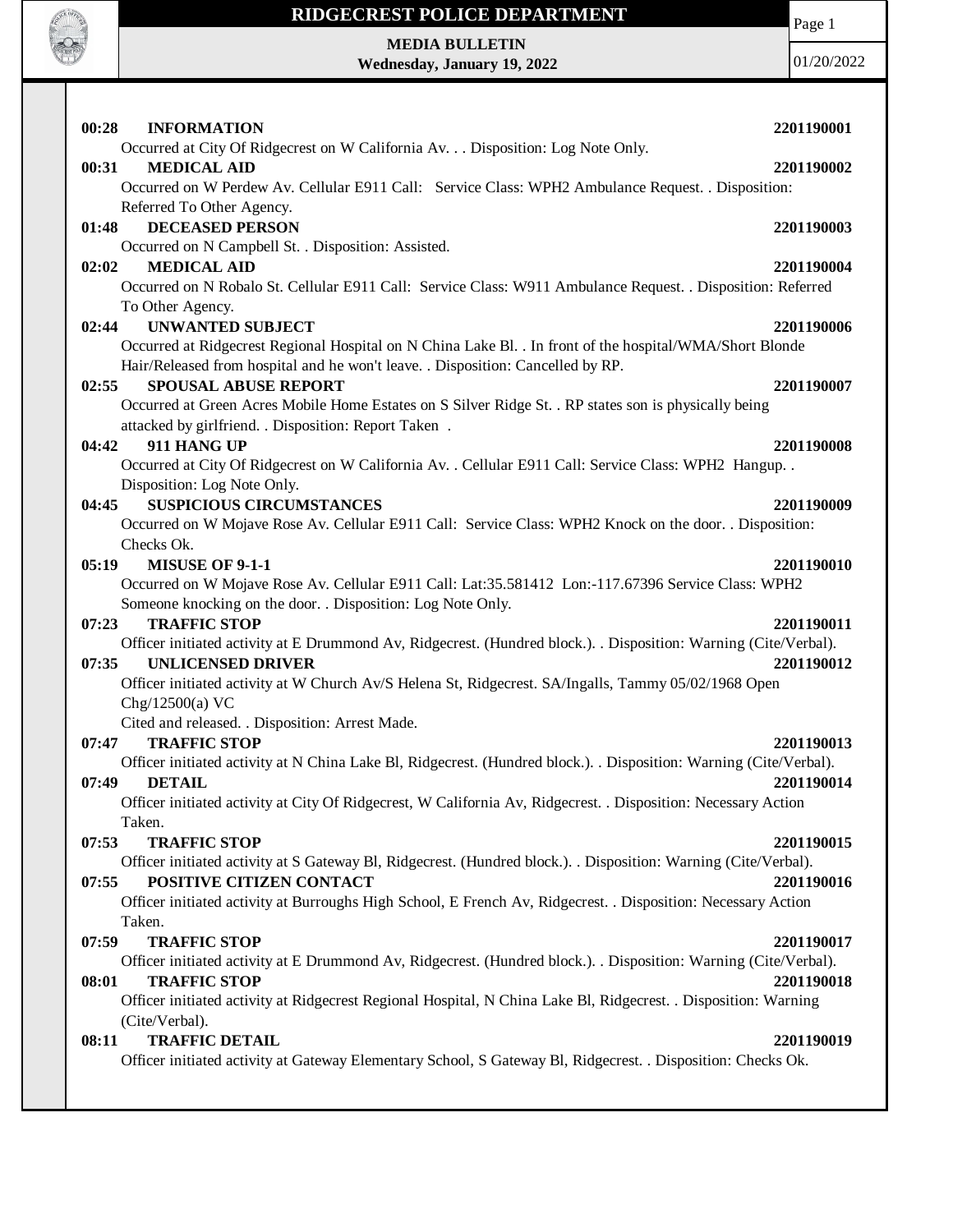

**MEDIA BULLETIN Wednesday, January 19, 2022** Page 1

| 00:28<br><b>INFORMATION</b>                                                                                                     | 2201190001 |
|---------------------------------------------------------------------------------------------------------------------------------|------------|
| Occurred at City Of Ridgecrest on W California Av. Disposition: Log Note Only.                                                  |            |
| <b>MEDICAL AID</b><br>00:31                                                                                                     | 2201190002 |
| Occurred on W Perdew Av. Cellular E911 Call: Service Class: WPH2 Ambulance Request. . Disposition:                              |            |
| Referred To Other Agency.                                                                                                       |            |
| <b>DECEASED PERSON</b><br>01:48                                                                                                 | 2201190003 |
| Occurred on N Campbell St. . Disposition: Assisted.                                                                             |            |
| <b>MEDICAL AID</b><br>02:02                                                                                                     | 2201190004 |
| Occurred on N Robalo St. Cellular E911 Call: Service Class: W911 Ambulance Request. . Disposition: Referred<br>To Other Agency. |            |
| <b>UNWANTED SUBJECT</b><br>02:44                                                                                                | 2201190006 |
| Occurred at Ridgecrest Regional Hospital on N China Lake Bl. . In front of the hospital/WMA/Short Blonde                        |            |
| Hair/Released from hospital and he won't leave. . Disposition: Cancelled by RP.                                                 |            |
| <b>SPOUSAL ABUSE REPORT</b><br>02:55                                                                                            | 2201190007 |
| Occurred at Green Acres Mobile Home Estates on S Silver Ridge St. . RP states son is physically being                           |            |
| attacked by girlfriend. . Disposition: Report Taken .                                                                           |            |
| 04:42<br>911 HANG UP                                                                                                            | 2201190008 |
| Occurred at City Of Ridgecrest on W California Av. . Cellular E911 Call: Service Class: WPH2 Hangup. .                          |            |
| Disposition: Log Note Only.                                                                                                     |            |
| <b>SUSPICIOUS CIRCUMSTANCES</b><br>04:45                                                                                        | 2201190009 |
| Occurred on W Mojave Rose Av. Cellular E911 Call: Service Class: WPH2 Knock on the door. . Disposition:                         |            |
| Checks Ok.                                                                                                                      |            |
| <b>MISUSE OF 9-1-1</b><br>05:19                                                                                                 | 2201190010 |
| Occurred on W Mojave Rose Av. Cellular E911 Call: Lat:35.581412 Lon:-117.67396 Service Class: WPH2                              |            |
| Someone knocking on the door. . Disposition: Log Note Only.                                                                     |            |
| <b>TRAFFIC STOP</b><br>07:23                                                                                                    | 2201190011 |
| Officer initiated activity at E Drummond Av, Ridgecrest. (Hundred block.). . Disposition: Warning (Cite/Verbal).                |            |
| 07:35<br><b>UNLICENSED DRIVER</b>                                                                                               | 2201190012 |
| Officer initiated activity at W Church Av/S Helena St, Ridgecrest. SA/Ingalls, Tammy 05/02/1968 Open                            |            |
| Chg/12500(a) VC                                                                                                                 |            |
| Cited and released. . Disposition: Arrest Made.                                                                                 |            |
| 07:47<br><b>TRAFFIC STOP</b>                                                                                                    | 2201190013 |
| Officer initiated activity at N China Lake Bl, Ridgecrest. (Hundred block.). . Disposition: Warning (Cite/Verbal).              |            |
| <b>DETAIL</b><br>07:49                                                                                                          | 2201190014 |
| Officer initiated activity at City Of Ridgecrest, W California Av, Ridgecrest. . Disposition: Necessary Action                  |            |
| Taken.                                                                                                                          |            |
| 07:53<br><b>TRAFFIC STOP</b>                                                                                                    | 2201190015 |
| Officer initiated activity at S Gateway Bl, Ridgecrest. (Hundred block.). Disposition: Warning (Cite/Verbal).                   |            |
| POSITIVE CITIZEN CONTACT<br>07:55                                                                                               | 2201190016 |
| Officer initiated activity at Burroughs High School, E French Av, Ridgecrest. . Disposition: Necessary Action                   |            |
| Taken.                                                                                                                          |            |
| 07:59<br><b>TRAFFIC STOP</b>                                                                                                    | 2201190017 |
| Officer initiated activity at E Drummond Av, Ridgecrest. (Hundred block.). . Disposition: Warning (Cite/Verbal).                |            |
| <b>TRAFFIC STOP</b><br>08:01                                                                                                    | 2201190018 |
| Officer initiated activity at Ridgecrest Regional Hospital, N China Lake Bl, Ridgecrest. . Disposition: Warning                 |            |
| (Cite/Verbal).<br><b>TRAFFIC DETAIL</b>                                                                                         |            |
| 08:11<br>Officer initiated activity at Gateway Elementary School, S Gateway Bl, Ridgecrest. . Disposition: Checks Ok.           | 2201190019 |
|                                                                                                                                 |            |
|                                                                                                                                 |            |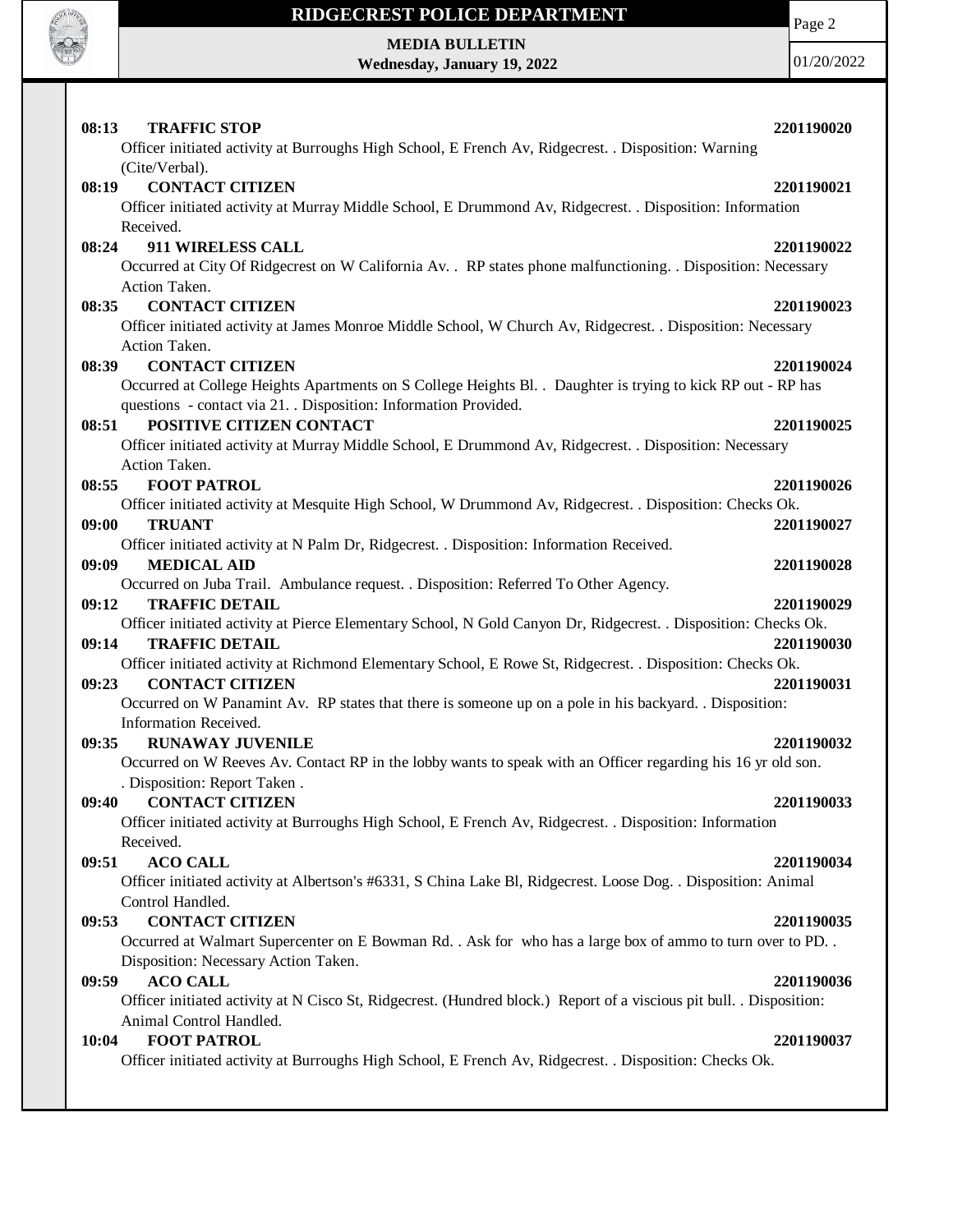

Page 2

**MEDIA BULLETIN Wednesday, January 19, 2022**

| 08:13<br><b>TRAFFIC STOP</b>                                                                                                 | 2201190020 |
|------------------------------------------------------------------------------------------------------------------------------|------------|
| Officer initiated activity at Burroughs High School, E French Av, Ridgecrest. . Disposition: Warning                         |            |
| (Cite/Verbal).                                                                                                               |            |
| <b>CONTACT CITIZEN</b><br>08:19                                                                                              | 2201190021 |
| Officer initiated activity at Murray Middle School, E Drummond Av, Ridgecrest. . Disposition: Information                    |            |
| Received.                                                                                                                    |            |
| 911 WIRELESS CALL<br>08:24                                                                                                   | 2201190022 |
| Occurred at City Of Ridgecrest on W California Av. . RP states phone malfunctioning. . Disposition: Necessary                |            |
| Action Taken.                                                                                                                |            |
| <b>CONTACT CITIZEN</b><br>08:35                                                                                              | 2201190023 |
| Officer initiated activity at James Monroe Middle School, W Church Av, Ridgecrest. . Disposition: Necessary<br>Action Taken. |            |
| <b>CONTACT CITIZEN</b><br>08:39                                                                                              | 2201190024 |
| Occurred at College Heights Apartments on S College Heights Bl. . Daughter is trying to kick RP out - RP has                 |            |
| questions - contact via 21. Disposition: Information Provided.                                                               |            |
| 08:51<br>POSITIVE CITIZEN CONTACT                                                                                            | 2201190025 |
| Officer initiated activity at Murray Middle School, E Drummond Av, Ridgecrest. . Disposition: Necessary                      |            |
| Action Taken.                                                                                                                |            |
| <b>FOOT PATROL</b><br>08:55                                                                                                  | 2201190026 |
| Officer initiated activity at Mesquite High School, W Drummond Av, Ridgecrest. . Disposition: Checks Ok.                     |            |
| <b>TRUANT</b><br>09:00                                                                                                       | 2201190027 |
| Officer initiated activity at N Palm Dr, Ridgecrest. . Disposition: Information Received.                                    |            |
| 09:09<br><b>MEDICAL AID</b>                                                                                                  | 2201190028 |
| Occurred on Juba Trail. Ambulance request. . Disposition: Referred To Other Agency.                                          |            |
| 09:12<br><b>TRAFFIC DETAIL</b>                                                                                               | 2201190029 |
| Officer initiated activity at Pierce Elementary School, N Gold Canyon Dr, Ridgecrest. . Disposition: Checks Ok.              |            |
| 09:14<br><b>TRAFFIC DETAIL</b>                                                                                               | 2201190030 |
| Officer initiated activity at Richmond Elementary School, E Rowe St, Ridgecrest. . Disposition: Checks Ok.                   |            |
| <b>CONTACT CITIZEN</b><br>09:23                                                                                              | 2201190031 |
| Occurred on W Panamint Av. RP states that there is someone up on a pole in his backyard. . Disposition:                      |            |
| Information Received.                                                                                                        |            |
| 09:35<br><b>RUNAWAY JUVENILE</b>                                                                                             | 2201190032 |
| Occurred on W Reeves Av. Contact RP in the lobby wants to speak with an Officer regarding his 16 yr old son.                 |            |
| . Disposition: Report Taken.                                                                                                 |            |
| 09:40 CONTACT CITIZEN                                                                                                        | 2201190033 |
| Officer initiated activity at Burroughs High School, E French Av, Ridgecrest. . Disposition: Information                     |            |
| Received.<br>09:51<br><b>ACO CALL</b>                                                                                        | 2201190034 |
| Officer initiated activity at Albertson's #6331, S China Lake Bl, Ridgecrest. Loose Dog. . Disposition: Animal               |            |
| Control Handled.                                                                                                             |            |
| <b>CONTACT CITIZEN</b><br>09:53                                                                                              | 2201190035 |
| Occurred at Walmart Supercenter on E Bowman Rd. . Ask for who has a large box of ammo to turn over to PD. .                  |            |
| Disposition: Necessary Action Taken.                                                                                         |            |
| <b>ACO CALL</b><br>09:59                                                                                                     | 2201190036 |
| Officer initiated activity at N Cisco St, Ridgecrest. (Hundred block.) Report of a viscious pit bull. . Disposition:         |            |
| Animal Control Handled.                                                                                                      |            |
| <b>FOOT PATROL</b><br>10:04                                                                                                  | 2201190037 |
| Officer initiated activity at Burroughs High School, E French Av, Ridgecrest. . Disposition: Checks Ok.                      |            |
|                                                                                                                              |            |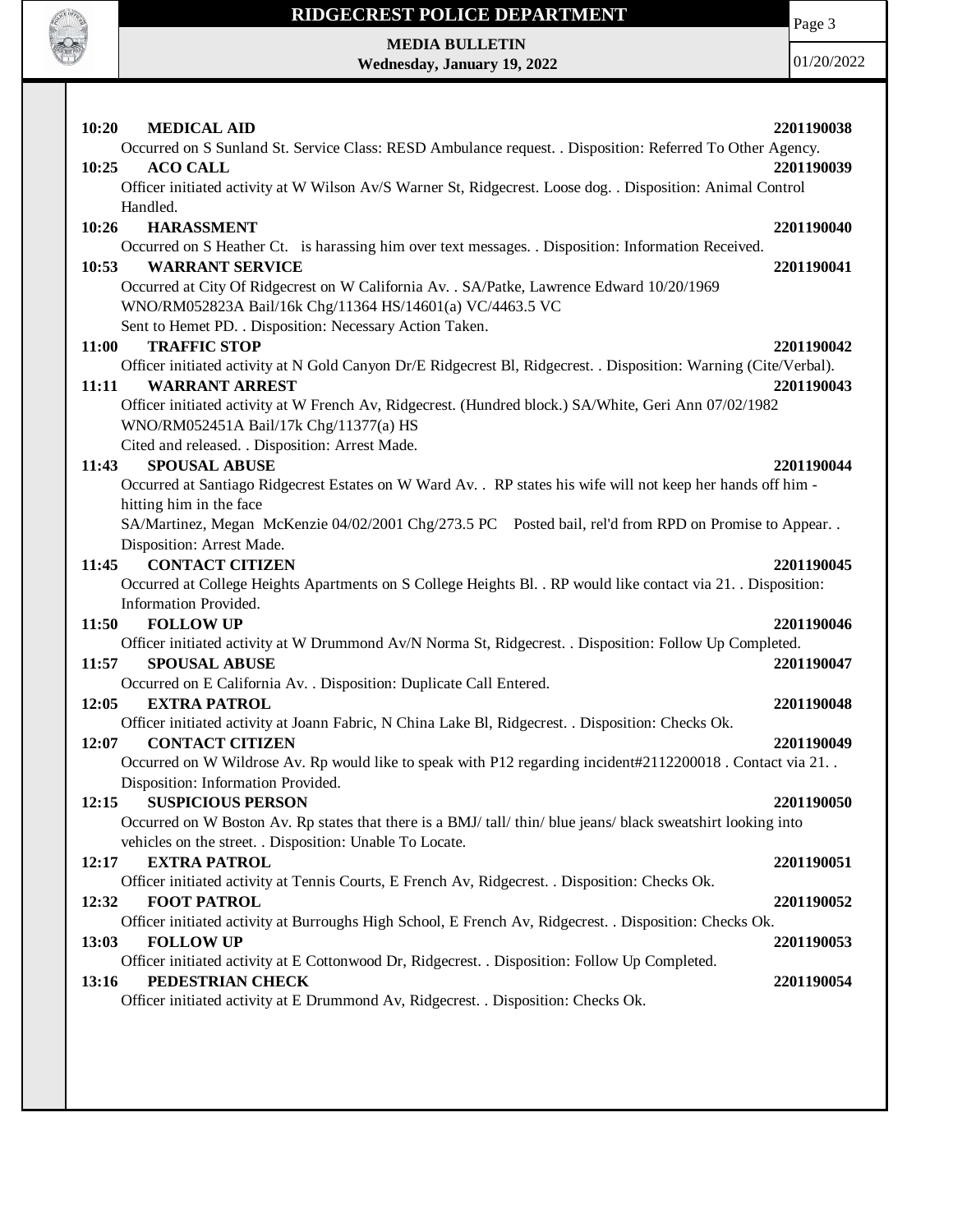

Page 3

**MEDIA BULLETIN Wednesday, January 19, 2022**

| 10:20<br><b>MEDICAL AID</b><br>Occurred on S Sunland St. Service Class: RESD Ambulance request. . Disposition: Referred To Other Agency. | 2201190038 |
|------------------------------------------------------------------------------------------------------------------------------------------|------------|
| 10:25<br><b>ACO CALL</b>                                                                                                                 | 2201190039 |
| Officer initiated activity at W Wilson Av/S Warner St, Ridgecrest. Loose dog. . Disposition: Animal Control                              |            |
| Handled.                                                                                                                                 |            |
| 10:26<br><b>HARASSMENT</b>                                                                                                               | 2201190040 |
| Occurred on S Heather Ct. is harassing him over text messages. . Disposition: Information Received.                                      |            |
| <b>WARRANT SERVICE</b><br>10:53                                                                                                          | 2201190041 |
| Occurred at City Of Ridgecrest on W California Av. . SA/Patke, Lawrence Edward 10/20/1969                                                |            |
| WNO/RM052823A Bail/16k Chg/11364 HS/14601(a) VC/4463.5 VC                                                                                |            |
| Sent to Hemet PD. . Disposition: Necessary Action Taken.                                                                                 |            |
| 11:00<br><b>TRAFFIC STOP</b>                                                                                                             | 2201190042 |
| Officer initiated activity at N Gold Canyon Dr/E Ridgecrest Bl, Ridgecrest. . Disposition: Warning (Cite/Verbal).                        |            |
| <b>WARRANT ARREST</b><br>11:11                                                                                                           | 2201190043 |
| Officer initiated activity at W French Av, Ridgecrest. (Hundred block.) SA/White, Geri Ann 07/02/1982                                    |            |
| WNO/RM052451A Bail/17k Chg/11377(a) HS<br>Cited and released. . Disposition: Arrest Made.                                                |            |
| <b>SPOUSAL ABUSE</b><br>11:43                                                                                                            | 2201190044 |
| Occurred at Santiago Ridgecrest Estates on W Ward Av. . RP states his wife will not keep her hands off him -                             |            |
| hitting him in the face                                                                                                                  |            |
| SA/Martinez, Megan McKenzie 04/02/2001 Chg/273.5 PC Posted bail, rel'd from RPD on Promise to Appear                                     |            |
| Disposition: Arrest Made.                                                                                                                |            |
| <b>CONTACT CITIZEN</b><br>11:45                                                                                                          | 2201190045 |
| Occurred at College Heights Apartments on S College Heights Bl. . RP would like contact via 21. . Disposition:                           |            |
| Information Provided.                                                                                                                    |            |
| <b>FOLLOW UP</b><br>11:50                                                                                                                | 2201190046 |
| Officer initiated activity at W Drummond Av/N Norma St, Ridgecrest. . Disposition: Follow Up Completed.                                  |            |
| 11:57<br><b>SPOUSAL ABUSE</b>                                                                                                            | 2201190047 |
| Occurred on E California Av. . Disposition: Duplicate Call Entered.                                                                      |            |
| 12:05<br><b>EXTRA PATROL</b><br>2201190048                                                                                               |            |
| Officer initiated activity at Joann Fabric, N China Lake Bl, Ridgecrest. . Disposition: Checks Ok.<br>12:07<br><b>CONTACT CITIZEN</b>    |            |
| Occurred on W Wildrose Av. Rp would like to speak with P12 regarding incident#2112200018. Contact via 21                                 | 2201190049 |
| Disposition: Information Provided.                                                                                                       |            |
| 12:15 SUSPICIOUS PERSON                                                                                                                  | 2201190050 |
| Occurred on W Boston Av. Rp states that there is a BMJ/ tall/ thin/ blue jeans/ black sweatshirt looking into                            |            |
| vehicles on the street. . Disposition: Unable To Locate.                                                                                 |            |
| 12:17<br><b>EXTRA PATROL</b>                                                                                                             | 2201190051 |
| Officer initiated activity at Tennis Courts, E French Av, Ridgecrest. . Disposition: Checks Ok.                                          |            |
| 12:32<br><b>FOOT PATROL</b>                                                                                                              | 2201190052 |
| Officer initiated activity at Burroughs High School, E French Av, Ridgecrest. . Disposition: Checks Ok.                                  |            |
| <b>FOLLOW UP</b><br>13:03                                                                                                                | 2201190053 |
| Officer initiated activity at E Cottonwood Dr, Ridgecrest. . Disposition: Follow Up Completed.                                           |            |
| PEDESTRIAN CHECK<br>13:16                                                                                                                | 2201190054 |
| Officer initiated activity at E Drummond Av, Ridgecrest. . Disposition: Checks Ok.                                                       |            |
|                                                                                                                                          |            |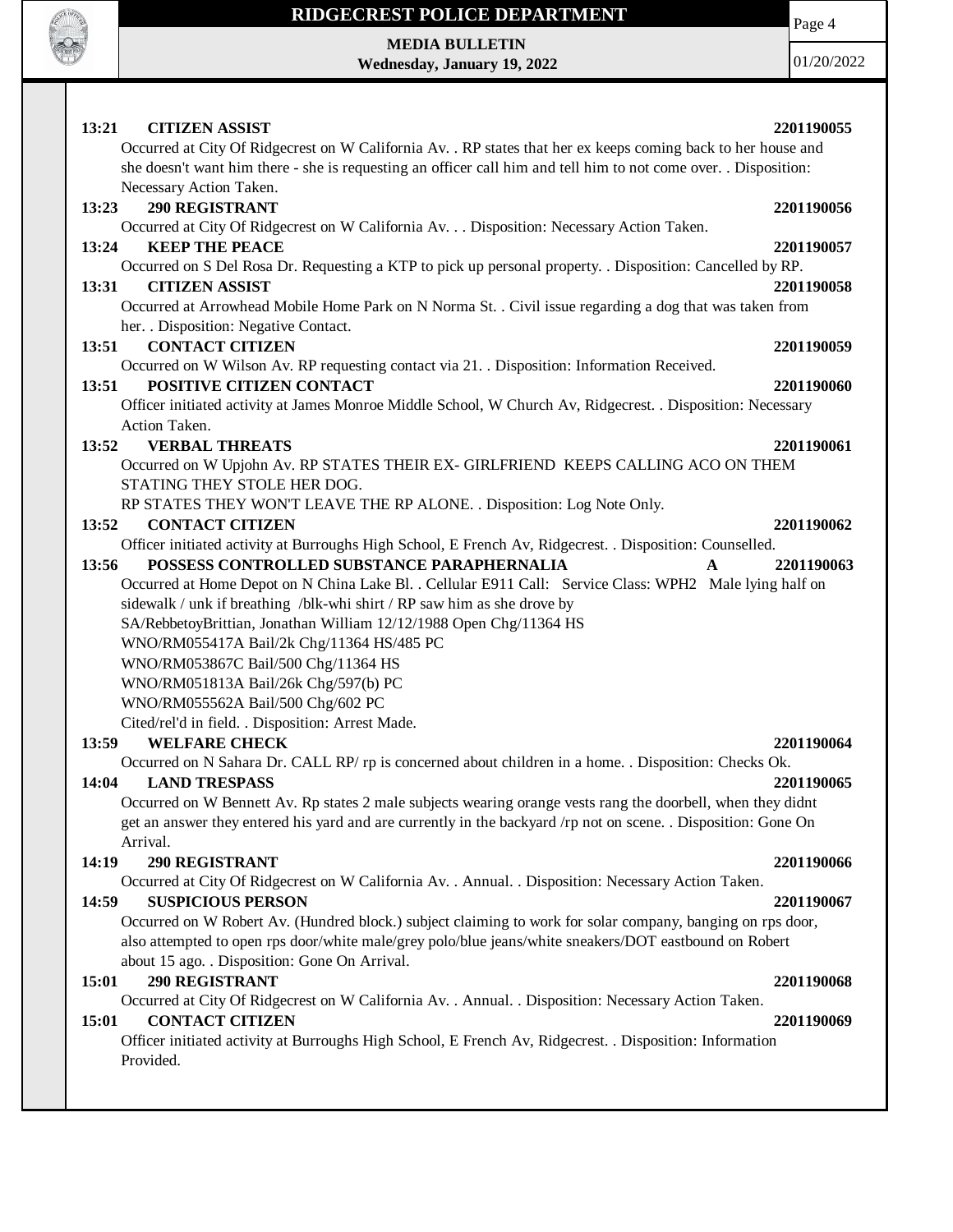

Page 4

**MEDIA BULLETIN Wednesday, January 19, 2022**

| 13:21<br><b>CITIZEN ASSIST</b>                                                                                                                                                                                                    | 2201190055 |
|-----------------------------------------------------------------------------------------------------------------------------------------------------------------------------------------------------------------------------------|------------|
| Occurred at City Of Ridgecrest on W California Av. . RP states that her ex keeps coming back to her house and<br>she doesn't want him there - she is requesting an officer call him and tell him to not come over. . Disposition: |            |
| Necessary Action Taken.                                                                                                                                                                                                           |            |
| <b>290 REGISTRANT</b><br>13:23                                                                                                                                                                                                    | 2201190056 |
| Occurred at City Of Ridgecrest on W California Av. Disposition: Necessary Action Taken.<br>13:24<br><b>KEEP THE PEACE</b>                                                                                                         | 2201190057 |
| Occurred on S Del Rosa Dr. Requesting a KTP to pick up personal property. . Disposition: Cancelled by RP.                                                                                                                         |            |
| 13:31<br><b>CITIZEN ASSIST</b>                                                                                                                                                                                                    | 2201190058 |
| Occurred at Arrowhead Mobile Home Park on N Norma St. . Civil issue regarding a dog that was taken from                                                                                                                           |            |
| her. . Disposition: Negative Contact.                                                                                                                                                                                             |            |
| <b>CONTACT CITIZEN</b><br>13:51                                                                                                                                                                                                   | 2201190059 |
| Occurred on W Wilson Av. RP requesting contact via 21. . Disposition: Information Received.                                                                                                                                       |            |
| POSITIVE CITIZEN CONTACT<br>13:51                                                                                                                                                                                                 | 2201190060 |
| Officer initiated activity at James Monroe Middle School, W Church Av, Ridgecrest. . Disposition: Necessary                                                                                                                       |            |
| Action Taken.                                                                                                                                                                                                                     |            |
| 13:52<br><b>VERBAL THREATS</b>                                                                                                                                                                                                    | 2201190061 |
| Occurred on W Upjohn Av. RP STATES THEIR EX- GIRLFRIEND KEEPS CALLING ACO ON THEM<br>STATING THEY STOLE HER DOG.                                                                                                                  |            |
| RP STATES THEY WON'T LEAVE THE RP ALONE. . Disposition: Log Note Only.                                                                                                                                                            |            |
| <b>CONTACT CITIZEN</b><br>13:52                                                                                                                                                                                                   | 2201190062 |
| Officer initiated activity at Burroughs High School, E French Av, Ridgecrest. . Disposition: Counselled.                                                                                                                          |            |
| POSSESS CONTROLLED SUBSTANCE PARAPHERNALIA<br>13:56<br>A                                                                                                                                                                          | 2201190063 |
| Occurred at Home Depot on N China Lake Bl. . Cellular E911 Call: Service Class: WPH2 Male lying half on                                                                                                                           |            |
| sidewalk / unk if breathing /blk-whi shirt / RP saw him as she drove by                                                                                                                                                           |            |
| SA/RebbetoyBrittian, Jonathan William 12/12/1988 Open Chg/11364 HS                                                                                                                                                                |            |
| WNO/RM055417A Bail/2k Chg/11364 HS/485 PC                                                                                                                                                                                         |            |
| WNO/RM053867C Bail/500 Chg/11364 HS                                                                                                                                                                                               |            |
| WNO/RM051813A Bail/26k Chg/597(b) PC                                                                                                                                                                                              |            |
| WNO/RM055562A Bail/500 Chg/602 PC                                                                                                                                                                                                 |            |
| Cited/rel'd in field. . Disposition: Arrest Made.                                                                                                                                                                                 |            |
| <b>WELFARE CHECK</b><br>13:59                                                                                                                                                                                                     | 2201190064 |
| Occurred on N Sahara Dr. CALL RP/ rp is concerned about children in a home. . Disposition: Checks Ok.                                                                                                                             | 2201190065 |
| 14:04<br><b>LAND TRESPASS</b><br>Occurred on W Bennett Av. Rp states 2 male subjects wearing orange vests rang the doorbell, when they didnt                                                                                      |            |
| get an answer they entered his yard and are currently in the backyard /rp not on scene. . Disposition: Gone On                                                                                                                    |            |
| Arrival.                                                                                                                                                                                                                          |            |
| 14:19<br><b>290 REGISTRANT</b>                                                                                                                                                                                                    | 2201190066 |
| Occurred at City Of Ridgecrest on W California Av. . Annual. . Disposition: Necessary Action Taken.                                                                                                                               |            |
| <b>SUSPICIOUS PERSON</b><br>14:59                                                                                                                                                                                                 | 2201190067 |
| Occurred on W Robert Av. (Hundred block.) subject claiming to work for solar company, banging on rps door,                                                                                                                        |            |
| also attempted to open rps door/white male/grey polo/blue jeans/white sneakers/DOT eastbound on Robert                                                                                                                            |            |
| about 15 ago. . Disposition: Gone On Arrival.                                                                                                                                                                                     |            |
| 290 REGISTRANT<br>15:01                                                                                                                                                                                                           | 2201190068 |
| Occurred at City Of Ridgecrest on W California Av. . Annual. . Disposition: Necessary Action Taken.                                                                                                                               |            |
| <b>CONTACT CITIZEN</b><br>15:01                                                                                                                                                                                                   | 2201190069 |
| Officer initiated activity at Burroughs High School, E French Av, Ridgecrest. . Disposition: Information<br>Provided.                                                                                                             |            |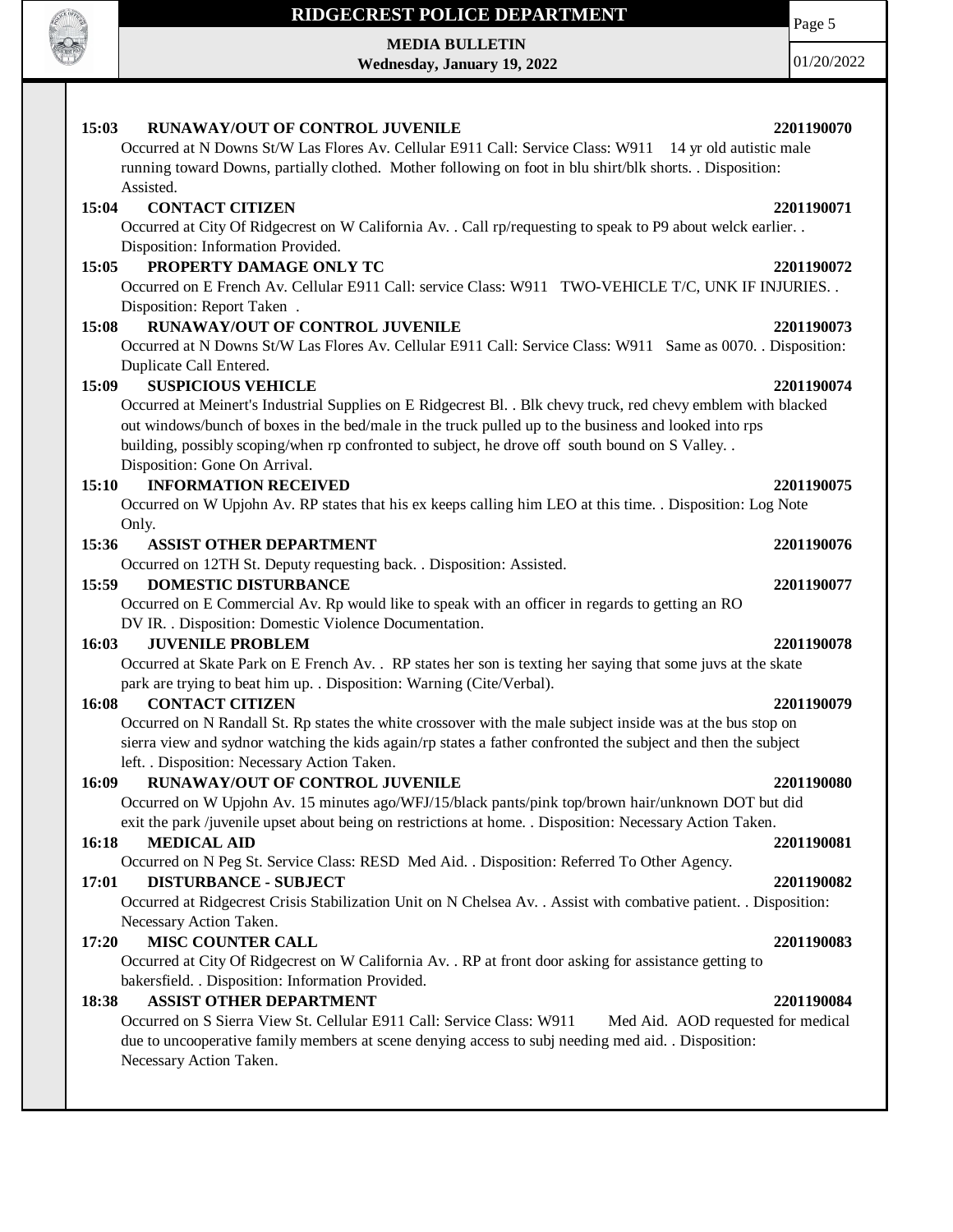

**MEDIA BULLETIN Wednesday, January 19, 2022**

01/20/2022

Page 5

| RUNAWAY/OUT OF CONTROL JUVENILE<br>15:03                                                                                                                                                                   | 2201190070 |
|------------------------------------------------------------------------------------------------------------------------------------------------------------------------------------------------------------|------------|
| Occurred at N Downs St/W Las Flores Av. Cellular E911 Call: Service Class: W911 14 yr old autistic male                                                                                                    |            |
| running toward Downs, partially clothed. Mother following on foot in blu shirt/blk shorts. . Disposition:                                                                                                  |            |
| Assisted.                                                                                                                                                                                                  |            |
| 15:04<br><b>CONTACT CITIZEN</b>                                                                                                                                                                            | 2201190071 |
| Occurred at City Of Ridgecrest on W California Av. . Call rp/requesting to speak to P9 about welck earlier. .                                                                                              |            |
| Disposition: Information Provided.                                                                                                                                                                         |            |
| PROPERTY DAMAGE ONLY TC<br>15:05                                                                                                                                                                           | 2201190072 |
| Occurred on E French Av. Cellular E911 Call: service Class: W911 TWO-VEHICLE T/C, UNK IF INJURIES                                                                                                          |            |
| Disposition: Report Taken.                                                                                                                                                                                 |            |
| RUNAWAY/OUT OF CONTROL JUVENILE<br>15:08                                                                                                                                                                   | 2201190073 |
| Occurred at N Downs St/W Las Flores Av. Cellular E911 Call: Service Class: W911 Same as 0070. Disposition:                                                                                                 |            |
| Duplicate Call Entered.<br><b>SUSPICIOUS VEHICLE</b>                                                                                                                                                       |            |
| 15:09                                                                                                                                                                                                      | 2201190074 |
| Occurred at Meinert's Industrial Supplies on E Ridgecrest Bl. . Blk chevy truck, red chevy emblem with blacked                                                                                             |            |
| out windows/bunch of boxes in the bed/male in the truck pulled up to the business and looked into rps<br>building, possibly scoping/when rp confronted to subject, he drove off south bound on S Valley. . |            |
| Disposition: Gone On Arrival.                                                                                                                                                                              |            |
| <b>INFORMATION RECEIVED</b><br>15:10                                                                                                                                                                       | 2201190075 |
| Occurred on W Upjohn Av. RP states that his ex keeps calling him LEO at this time. . Disposition: Log Note                                                                                                 |            |
| Only.                                                                                                                                                                                                      |            |
| 15:36<br><b>ASSIST OTHER DEPARTMENT</b>                                                                                                                                                                    | 2201190076 |
| Occurred on 12TH St. Deputy requesting back. . Disposition: Assisted.                                                                                                                                      |            |
| <b>DOMESTIC DISTURBANCE</b><br>15:59                                                                                                                                                                       | 2201190077 |
| Occurred on E Commercial Av. Rp would like to speak with an officer in regards to getting an RO                                                                                                            |            |
| DV IR. . Disposition: Domestic Violence Documentation.                                                                                                                                                     |            |
| <b>JUVENILE PROBLEM</b><br>16:03                                                                                                                                                                           | 2201190078 |
| Occurred at Skate Park on E French Av. . RP states her son is texting her saying that some juvs at the skate                                                                                               |            |
| park are trying to beat him up. . Disposition: Warning (Cite/Verbal).                                                                                                                                      |            |
| <b>CONTACT CITIZEN</b><br>16:08                                                                                                                                                                            | 2201190079 |
| Occurred on N Randall St. Rp states the white crossover with the male subject inside was at the bus stop on                                                                                                |            |
| sierra view and sydnor watching the kids again/rp states a father confronted the subject and then the subject                                                                                              |            |
| left. . Disposition: Necessary Action Taken.                                                                                                                                                               |            |
| 16:09<br>RUNAWAY/OUT OF CONTROL JUVENILE                                                                                                                                                                   | 2201190080 |
| Occurred on W Upjohn Av. 15 minutes ago/WFJ/15/black pants/pink top/brown hair/unknown DOT but did                                                                                                         |            |
| exit the park /juvenile upset about being on restrictions at home. . Disposition: Necessary Action Taken.                                                                                                  |            |
| <b>MEDICAL AID</b><br>16:18                                                                                                                                                                                | 2201190081 |
| Occurred on N Peg St. Service Class: RESD Med Aid. . Disposition: Referred To Other Agency.                                                                                                                |            |
| <b>DISTURBANCE - SUBJECT</b><br>17:01                                                                                                                                                                      | 2201190082 |
| Occurred at Ridgecrest Crisis Stabilization Unit on N Chelsea Av. . Assist with combative patient. . Disposition:                                                                                          |            |
| Necessary Action Taken.                                                                                                                                                                                    |            |
| <b>MISC COUNTER CALL</b><br>17:20                                                                                                                                                                          | 2201190083 |
| Occurred at City Of Ridgecrest on W California Av. . RP at front door asking for assistance getting to                                                                                                     |            |
| bakersfield. . Disposition: Information Provided.                                                                                                                                                          |            |
| <b>ASSIST OTHER DEPARTMENT</b><br>18:38                                                                                                                                                                    | 2201190084 |
| Occurred on S Sierra View St. Cellular E911 Call: Service Class: W911<br>Med Aid. AOD requested for medical                                                                                                |            |
| due to uncooperative family members at scene denying access to subj needing med aid. . Disposition:                                                                                                        |            |
| Necessary Action Taken.                                                                                                                                                                                    |            |
|                                                                                                                                                                                                            |            |
|                                                                                                                                                                                                            |            |